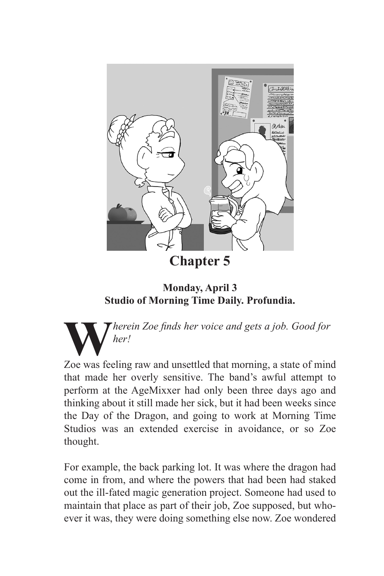

**Monday, April 3 Studio of Morning Time Daily. Profundia.**

**W***herein Zoe finds her voice and gets a job. Good for her!*

Zoe was feeling raw and unsettled that morning, a state of mind that made her overly sensitive. The band's awful attempt to perform at the AgeMixxer had only been three days ago and thinking about it still made her sick, but it had been weeks since the Day of the Dragon, and going to work at Morning Time Studios was an extended exercise in avoidance, or so Zoe thought.

For example, the back parking lot. It was where the dragon had come in from, and where the powers that had been had staked out the ill-fated magic generation project. Someone had used to maintain that place as part of their job, Zoe supposed, but whoever it was, they were doing something else now. Zoe wondered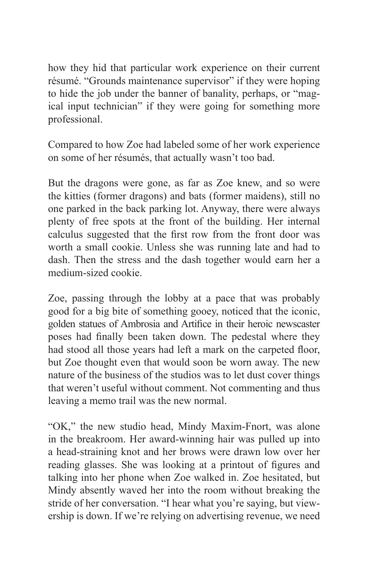how they hid that particular work experience on their current résumé. "Grounds maintenance supervisor" if they were hoping to hide the job under the banner of banality, perhaps, or "magical input technician" if they were going for something more professional.

Compared to how Zoe had labeled some of her work experience on some of her résumés, that actually wasn't too bad.

But the dragons were gone, as far as Zoe knew, and so were the kitties (former dragons) and bats (former maidens), still no one parked in the back parking lot. Anyway, there were always plenty of free spots at the front of the building. Her internal calculus suggested that the first row from the front door was worth a small cookie. Unless she was running late and had to dash. Then the stress and the dash together would earn her a medium-sized cookie.

Zoe, passing through the lobby at a pace that was probably good for a big bite of something gooey, noticed that the iconic, golden statues of Ambrosia and Artifice in their heroic newscaster poses had finally been taken down. The pedestal where they had stood all those years had left a mark on the carpeted floor, but Zoe thought even that would soon be worn away. The new nature of the business of the studios was to let dust cover things that weren't useful without comment. Not commenting and thus leaving a memo trail was the new normal.

"OK," the new studio head, Mindy Maxim-Fnort, was alone in the breakroom. Her award-winning hair was pulled up into a head-straining knot and her brows were drawn low over her reading glasses. She was looking at a printout of figures and talking into her phone when Zoe walked in. Zoe hesitated, but Mindy absently waved her into the room without breaking the stride of her conversation. "I hear what you're saying, but viewership is down. If we're relying on advertising revenue, we need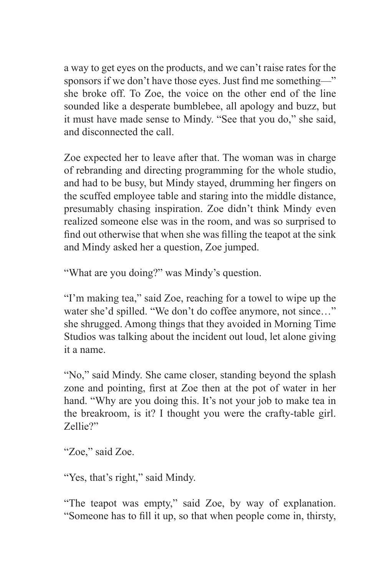a way to get eyes on the products, and we can't raise rates for the sponsors if we don't have those eyes. Just find me something—" she broke off. To Zoe, the voice on the other end of the line sounded like a desperate bumblebee, all apology and buzz, but it must have made sense to Mindy. "See that you do," she said, and disconnected the call.

Zoe expected her to leave after that. The woman was in charge of rebranding and directing programming for the whole studio, and had to be busy, but Mindy stayed, drumming her fingers on the scuffed employee table and staring into the middle distance, presumably chasing inspiration. Zoe didn't think Mindy even realized someone else was in the room, and was so surprised to find out otherwise that when she was filling the teapot at the sink and Mindy asked her a question, Zoe jumped.

"What are you doing?" was Mindy's question.

"I'm making tea," said Zoe, reaching for a towel to wipe up the water she'd spilled. "We don't do coffee anymore, not since..." she shrugged. Among things that they avoided in Morning Time Studios was talking about the incident out loud, let alone giving it a name.

"No," said Mindy. She came closer, standing beyond the splash zone and pointing, first at Zoe then at the pot of water in her hand. "Why are you doing this. It's not your job to make tea in the breakroom, is it? I thought you were the crafty-table girl. Zellie?"

"Zoe," said Zoe.

"Yes, that's right," said Mindy.

"The teapot was empty," said Zoe, by way of explanation. "Someone has to fill it up, so that when people come in, thirsty,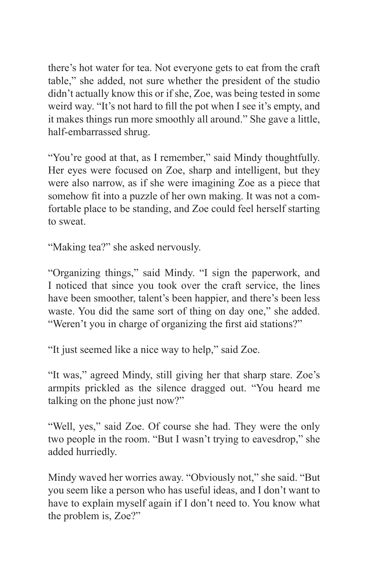there's hot water for tea. Not everyone gets to eat from the craft table," she added, not sure whether the president of the studio didn't actually know this or if she, Zoe, was being tested in some weird way. "It's not hard to fill the pot when I see it's empty, and it makes things run more smoothly all around." She gave a little, half-embarrassed shrug.

"You're good at that, as I remember," said Mindy thoughtfully. Her eyes were focused on Zoe, sharp and intelligent, but they were also narrow, as if she were imagining Zoe as a piece that somehow fit into a puzzle of her own making. It was not a comfortable place to be standing, and Zoe could feel herself starting to sweat.

"Making tea?" she asked nervously.

"Organizing things," said Mindy. "I sign the paperwork, and I noticed that since you took over the craft service, the lines have been smoother, talent's been happier, and there's been less waste. You did the same sort of thing on day one," she added. "Weren't you in charge of organizing the first aid stations?"

"It just seemed like a nice way to help," said Zoe.

"It was," agreed Mindy, still giving her that sharp stare. Zoe's armpits prickled as the silence dragged out. "You heard me talking on the phone just now?"

"Well, yes," said Zoe. Of course she had. They were the only two people in the room. "But I wasn't trying to eavesdrop," she added hurriedly.

Mindy waved her worries away. "Obviously not," she said. "But you seem like a person who has useful ideas, and I don't want to have to explain myself again if I don't need to. You know what the problem is, Zoe?"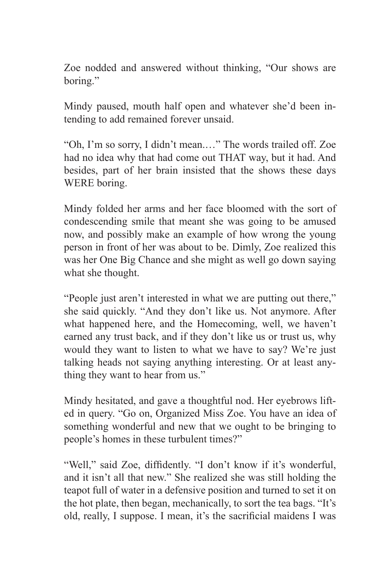Zoe nodded and answered without thinking, "Our shows are boring."

Mindy paused, mouth half open and whatever she'd been intending to add remained forever unsaid.

"Oh, I'm so sorry, I didn't mean.…" The words trailed off. Zoe had no idea why that had come out THAT way, but it had. And besides, part of her brain insisted that the shows these days WERE boring.

Mindy folded her arms and her face bloomed with the sort of condescending smile that meant she was going to be amused now, and possibly make an example of how wrong the young person in front of her was about to be. Dimly, Zoe realized this was her One Big Chance and she might as well go down saying what she thought.

"People just aren't interested in what we are putting out there," she said quickly. "And they don't like us. Not anymore. After what happened here, and the Homecoming, well, we haven't earned any trust back, and if they don't like us or trust us, why would they want to listen to what we have to say? We're just talking heads not saying anything interesting. Or at least anything they want to hear from us."

Mindy hesitated, and gave a thoughtful nod. Her eyebrows lifted in query. "Go on, Organized Miss Zoe. You have an idea of something wonderful and new that we ought to be bringing to people's homes in these turbulent times?"

"Well," said Zoe, diffidently. "I don't know if it's wonderful, and it isn't all that new." She realized she was still holding the teapot full of water in a defensive position and turned to set it on the hot plate, then began, mechanically, to sort the tea bags. "It's old, really, I suppose. I mean, it's the sacrificial maidens I was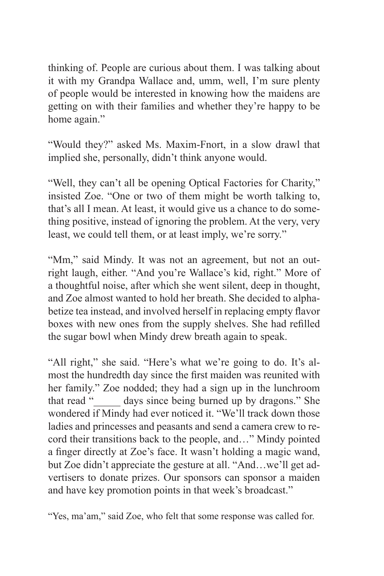thinking of. People are curious about them. I was talking about it with my Grandpa Wallace and, umm, well, I'm sure plenty of people would be interested in knowing how the maidens are getting on with their families and whether they're happy to be home again."

"Would they?" asked Ms. Maxim-Fnort, in a slow drawl that implied she, personally, didn't think anyone would.

"Well, they can't all be opening Optical Factories for Charity," insisted Zoe. "One or two of them might be worth talking to, that's all I mean. At least, it would give us a chance to do something positive, instead of ignoring the problem. At the very, very least, we could tell them, or at least imply, we're sorry."

"Mm," said Mindy. It was not an agreement, but not an outright laugh, either. "And you're Wallace's kid, right." More of a thoughtful noise, after which she went silent, deep in thought, and Zoe almost wanted to hold her breath. She decided to alphabetize tea instead, and involved herself in replacing empty flavor boxes with new ones from the supply shelves. She had refilled the sugar bowl when Mindy drew breath again to speak.

"All right," she said. "Here's what we're going to do. It's almost the hundredth day since the first maiden was reunited with her family." Zoe nodded; they had a sign up in the lunchroom that read "\_\_\_\_\_ days since being burned up by dragons." She wondered if Mindy had ever noticed it. "We'll track down those ladies and princesses and peasants and send a camera crew to record their transitions back to the people, and…" Mindy pointed a finger directly at Zoe's face. It wasn't holding a magic wand, but Zoe didn't appreciate the gesture at all. "And…we'll get advertisers to donate prizes. Our sponsors can sponsor a maiden and have key promotion points in that week's broadcast."

<sup>&</sup>quot;Yes, ma'am," said Zoe, who felt that some response was called for.